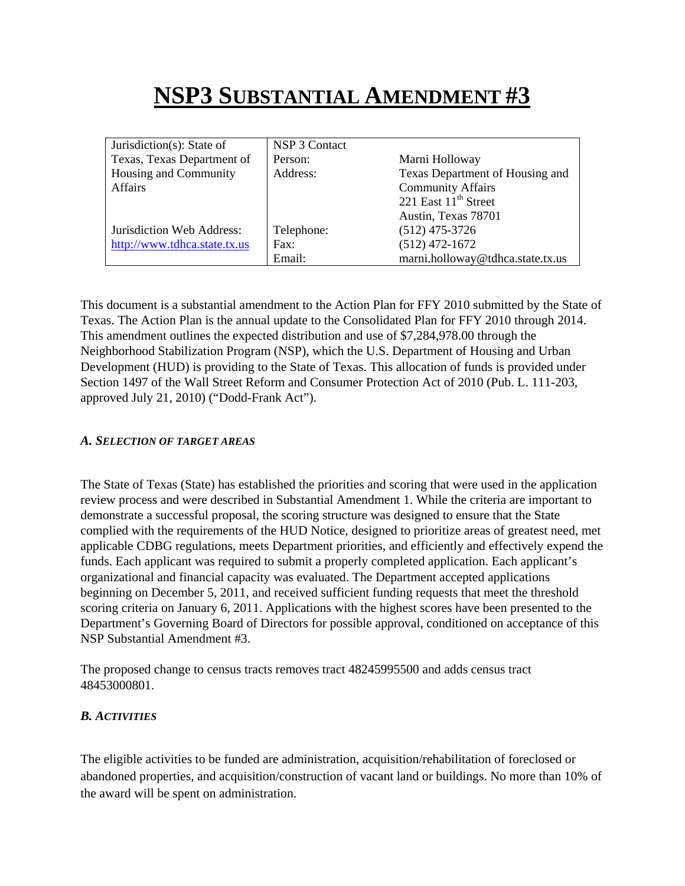# **NSP3 SUBSTANTIAL AMENDMENT #3**

| Jurisdiction(s): State of    | NSP 3 Contact |                                  |
|------------------------------|---------------|----------------------------------|
| Texas, Texas Department of   | Person:       | Marni Holloway                   |
| Housing and Community        | Address:      | Texas Department of Housing and  |
| Affairs                      |               | <b>Community Affairs</b>         |
|                              |               | 221 East $11th$ Street           |
|                              |               | Austin, Texas 78701              |
| Jurisdiction Web Address:    | Telephone:    | $(512)$ 475-3726                 |
| http://www.tdhca.state.tx.us | Fax:          | $(512)$ 472-1672                 |
|                              | Email:        | marni.holloway@tdhca.state.tx.us |

This document is a substantial amendment to the Action Plan for FFY 2010 submitted by the State of Texas. The Action Plan is the annual update to the Consolidated Plan for FFY 2010 through 2014. This amendment outlines the expected distribution and use of \$7,284,978.00 through the Neighborhood Stabilization Program (NSP), which the U.S. Department of Housing and Urban Development (HUD) is providing to the State of Texas. This allocation of funds is provided under Section 1497 of the Wall Street Reform and Consumer Protection Act of 2010 (Pub. L. 111-203, approved July 21, 2010) ("Dodd-Frank Act").

#### *A. SELECTION OF TARGET AREAS*

The State of Texas (State) has established the priorities and scoring that were used in the application review process and were described in Substantial Amendment 1. While the criteria are important to demonstrate a successful proposal, the scoring structure was designed to ensure that the State complied with the requirements of the HUD Notice, designed to prioritize areas of greatest need, met applicable CDBG regulations, meets Department priorities, and efficiently and effectively expend the funds. Each applicant was required to submit a properly completed application. Each applicant's organizational and financial capacity was evaluated. The Department accepted applications beginning on December 5, 2011, and received sufficient funding requests that meet the threshold scoring criteria on January 6, 2011. Applications with the highest scores have been presented to the Department's Governing Board of Directors for possible approval, conditioned on acceptance of this NSP Substantial Amendment #3.

The proposed change to census tracts removes tract 48245995500 and adds census tract 48453000801.

## *B. ACTIVITIES*

The eligible activities to be funded are administration, acquisition/rehabilitation of foreclosed or abandoned properties, and acquisition/construction of vacant land or buildings. No more than 10% of the award will be spent on administration.